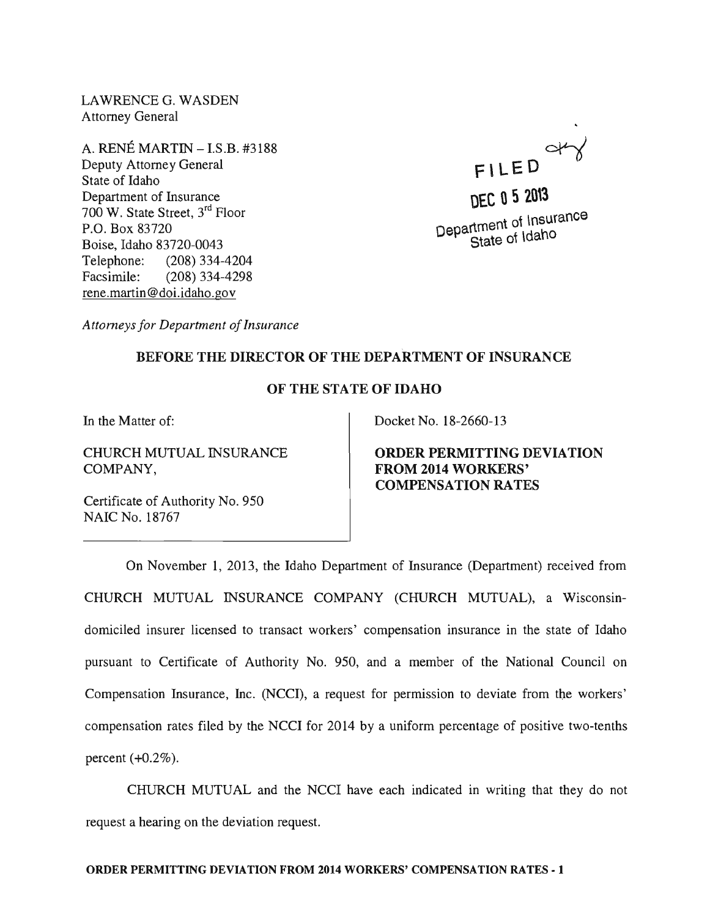LAWRENCE G. WASDEN Attorney General

A. RENE MARTIN -I.S.B. #3188 Deputy Attorney General State of Idaho Department of Insurance 700 W. State Street, 3rd Floor P.O. Box 83720 Boise, Idaho 83720-0043 Telephone: (208) 334-4204 Facsimile: (208) 334-4298 rene.martin@doi.idaho.gov



**DEC Q 5 20\3**   $_{t_{\rm{mant}}}$  of Insurance  $Depa$   $Bepa$   $Bepa$   $Cepa$   $Depa$ 

*Attorneys for Department of Insurance* 

## BEFORE THE DIRECTOR OF THE DEPARTMENT OF INSURANCE

## OF THE STATE OF IDAHO

In the Matter of:

CHURCH MUTUAL INSURANCE COMPANY,

Docket No. 18-2660-13

ORDER PERMITTING DEVIATION FROM 2014 WORKERS' COMPENSATION RATES

Certificate of Authority No. 950 NAIC No. 18767

On November 1, 2013, the Idaho Department of Insurance (Department) received from CHURCH MUTUAL INSURANCE COMPANY (CHURCH MUTUAL), a Wisconsindomiciled insurer licensed to transact workers' compensation insurance in the state of Idaho pursuant to Certificate of Authority No. 950, and a member of the National Council on Compensation Insurance, Inc. (NCCI), a request for permission to deviate from the workers' compensation rates filed by the NCCI for 2014 by a uniform percentage of positive two-tenths percent  $(+0.2\%)$ .

CHURCH MUTUAL and the NCCI have each indicated in writing that they do not request a hearing on the deviation request.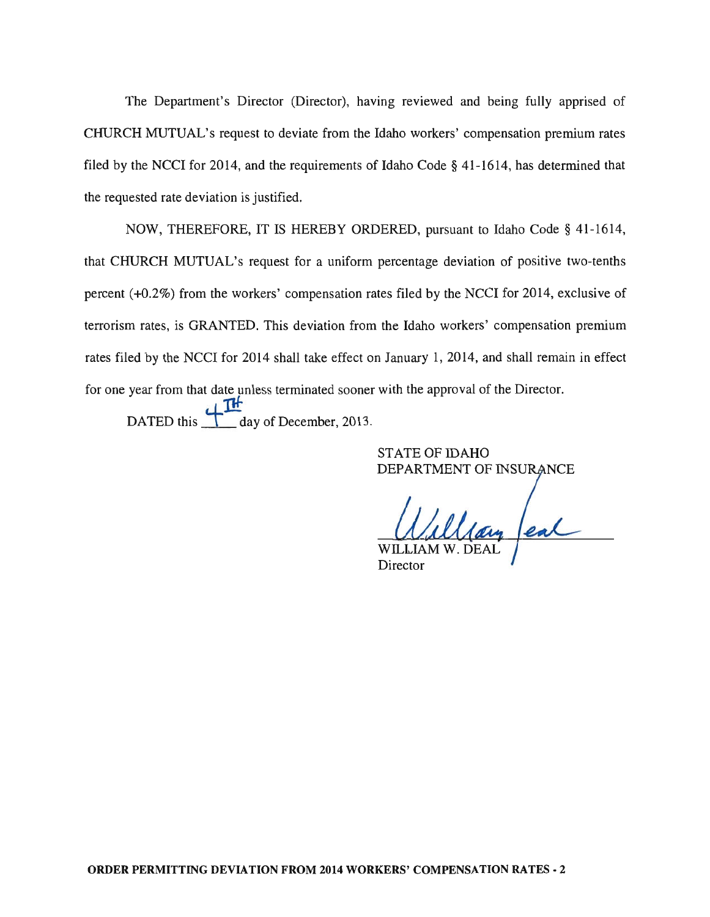The Department's Director (Director), having reviewed and being fully apprised of CHURCH MUTUAL's request to deviate from the Idaho workers' compensation premium rates filed by the NCCI for 2014, and the requirements of Idaho Code § 41-1614, has determined that the requested rate deviation is justified.

NOW, THEREFORE, IT IS HEREBY ORDERED, pursuant to Idaho Code § 41-1614, that CHURCH MUTUAL's request for a uniform percentage deviation of positive two-tenths percent (+0.2%) from the workers' compensation rates filed by the NCCI for 2014, exclusive of terrorism rates, is GRANTED. This deviation from the Idaho workers' compensation premium rates filed by the NCCI for 2014 shall take effect on January 1, 2014, and shall remain in effect for one year from that date unless terminated sooner with the approval of the Director. DATED this  $H^*$  day of December, 2013.

> STATE OF IDAHO DEPARTMENT OF INSURANCE

Clay feal

Director